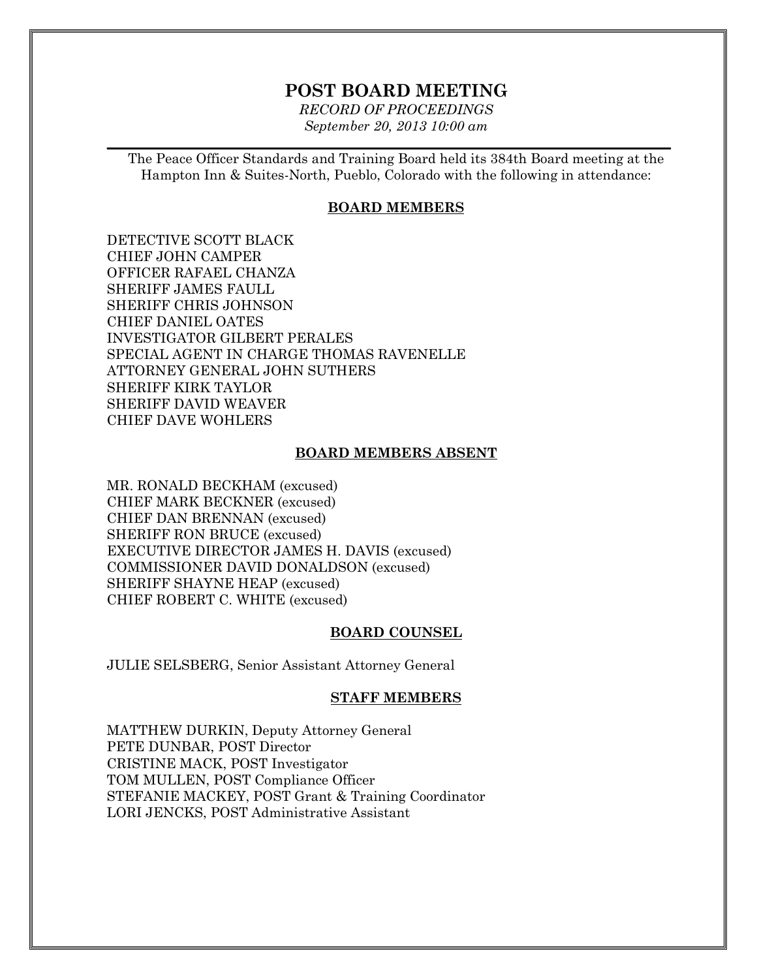# **POST BOARD MEETING**

*RECORD OF PROCEEDINGS September 20, 2013 10:00 am*

 $\mathcal{L}_\mathcal{L} = \mathcal{L}_\mathcal{L} = \mathcal{L}_\mathcal{L} = \mathcal{L}_\mathcal{L} = \mathcal{L}_\mathcal{L} = \mathcal{L}_\mathcal{L} = \mathcal{L}_\mathcal{L} = \mathcal{L}_\mathcal{L} = \mathcal{L}_\mathcal{L} = \mathcal{L}_\mathcal{L} = \mathcal{L}_\mathcal{L} = \mathcal{L}_\mathcal{L} = \mathcal{L}_\mathcal{L} = \mathcal{L}_\mathcal{L} = \mathcal{L}_\mathcal{L} = \mathcal{L}_\mathcal{L} = \mathcal{L}_\mathcal{L}$ 

The Peace Officer Standards and Training Board held its 384th Board meeting at the Hampton Inn & Suites-North, Pueblo, Colorado with the following in attendance:

#### **BOARD MEMBERS**

DETECTIVE SCOTT BLACK CHIEF JOHN CAMPER OFFICER RAFAEL CHANZA SHERIFF JAMES FAULL SHERIFF CHRIS JOHNSON CHIEF DANIEL OATES INVESTIGATOR GILBERT PERALES SPECIAL AGENT IN CHARGE THOMAS RAVENELLE ATTORNEY GENERAL JOHN SUTHERS SHERIFF KIRK TAYLOR SHERIFF DAVID WEAVER CHIEF DAVE WOHLERS

#### **BOARD MEMBERS ABSENT**

MR. RONALD BECKHAM (excused) CHIEF MARK BECKNER (excused) CHIEF DAN BRENNAN (excused) SHERIFF RON BRUCE (excused) EXECUTIVE DIRECTOR JAMES H. DAVIS (excused) COMMISSIONER DAVID DONALDSON (excused) SHERIFF SHAYNE HEAP (excused) CHIEF ROBERT C. WHITE (excused)

#### **BOARD COUNSEL**

JULIE SELSBERG, Senior Assistant Attorney General

#### **STAFF MEMBERS**

MATTHEW DURKIN, Deputy Attorney General PETE DUNBAR, POST Director CRISTINE MACK, POST Investigator TOM MULLEN, POST Compliance Officer STEFANIE MACKEY, POST Grant & Training Coordinator LORI JENCKS, POST Administrative Assistant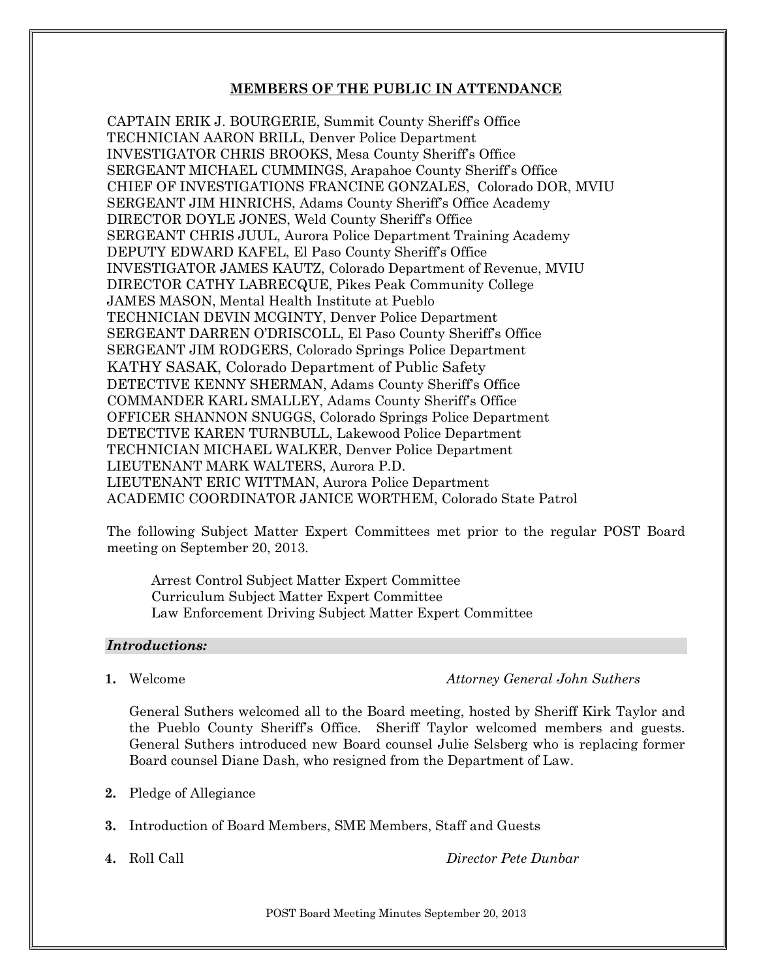#### **MEMBERS OF THE PUBLIC IN ATTENDANCE**

CAPTAIN ERIK J. BOURGERIE, Summit County Sheriff's Office TECHNICIAN AARON BRILL, Denver Police Department INVESTIGATOR CHRIS BROOKS, Mesa County Sheriff's Office SERGEANT MICHAEL CUMMINGS, Arapahoe County Sheriff's Office CHIEF OF INVESTIGATIONS FRANCINE GONZALES, Colorado DOR, MVIU SERGEANT JIM HINRICHS, Adams County Sheriff's Office Academy DIRECTOR DOYLE JONES, Weld County Sheriff's Office SERGEANT CHRIS JUUL, Aurora Police Department Training Academy DEPUTY EDWARD KAFEL, El Paso County Sheriff's Office INVESTIGATOR JAMES KAUTZ, Colorado Department of Revenue, MVIU DIRECTOR CATHY LABRECQUE, Pikes Peak Community College JAMES MASON, Mental Health Institute at Pueblo TECHNICIAN DEVIN MCGINTY, Denver Police Department SERGEANT DARREN O'DRISCOLL, El Paso County Sheriff's Office SERGEANT JIM RODGERS, Colorado Springs Police Department KATHY SASAK, Colorado Department of Public Safety DETECTIVE KENNY SHERMAN, Adams County Sheriff's Office COMMANDER KARL SMALLEY, Adams County Sheriff's Office OFFICER SHANNON SNUGGS, Colorado Springs Police Department DETECTIVE KAREN TURNBULL, Lakewood Police Department TECHNICIAN MICHAEL WALKER, Denver Police Department LIEUTENANT MARK WALTERS, Aurora P.D. LIEUTENANT ERIC WITTMAN, Aurora Police Department ACADEMIC COORDINATOR JANICE WORTHEM, Colorado State Patrol

The following Subject Matter Expert Committees met prior to the regular POST Board meeting on September 20, 2013.

Arrest Control Subject Matter Expert Committee Curriculum Subject Matter Expert Committee Law Enforcement Driving Subject Matter Expert Committee

#### *Introductions:*

**1.** Welcome *Attorney General John Suthers*

General Suthers welcomed all to the Board meeting, hosted by Sheriff Kirk Taylor and the Pueblo County Sheriff's Office. Sheriff Taylor welcomed members and guests. General Suthers introduced new Board counsel Julie Selsberg who is replacing former Board counsel Diane Dash, who resigned from the Department of Law.

- **2.** Pledge of Allegiance
- **3.** Introduction of Board Members, SME Members, Staff and Guests
- 

**4.** Roll Call *Director Pete Dunbar*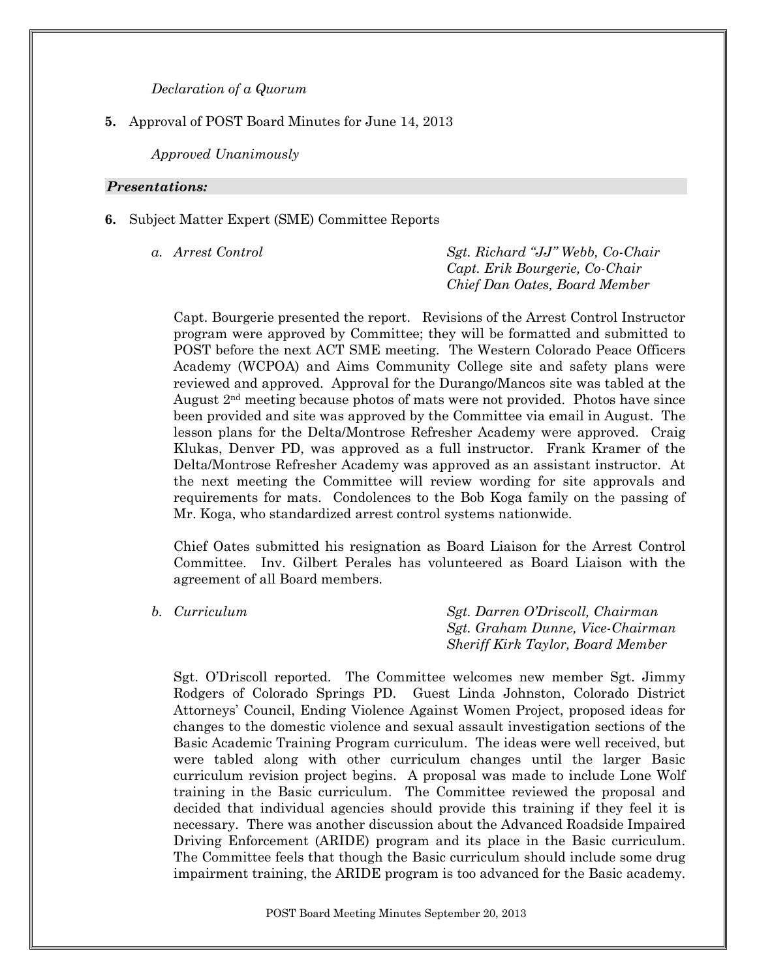*Declaration of a Quorum*

## **5.** Approval of POST Board Minutes for June 14, 2013

*Approved Unanimously*

#### *Presentations:*

**6.** Subject Matter Expert (SME) Committee Reports

*a. Arrest Control Sgt. Richard "JJ" Webb, Co-Chair Capt. Erik Bourgerie, Co-Chair Chief Dan Oates, Board Member*

Capt. Bourgerie presented the report. Revisions of the Arrest Control Instructor program were approved by Committee; they will be formatted and submitted to POST before the next ACT SME meeting. The Western Colorado Peace Officers Academy (WCPOA) and Aims Community College site and safety plans were reviewed and approved. Approval for the Durango/Mancos site was tabled at the August  $2<sup>nd</sup>$  meeting because photos of mats were not provided. Photos have since been provided and site was approved by the Committee via email in August. The lesson plans for the Delta/Montrose Refresher Academy were approved. Craig Klukas, Denver PD, was approved as a full instructor. Frank Kramer of the Delta/Montrose Refresher Academy was approved as an assistant instructor. At the next meeting the Committee will review wording for site approvals and requirements for mats. Condolences to the Bob Koga family on the passing of Mr. Koga, who standardized arrest control systems nationwide.

Chief Oates submitted his resignation as Board Liaison for the Arrest Control Committee. Inv. Gilbert Perales has volunteered as Board Liaison with the agreement of all Board members.

*b. Curriculum Sgt. Darren O'Driscoll, Chairman Sgt. Graham Dunne, Vice-Chairman Sheriff Kirk Taylor, Board Member*

Sgt. O'Driscoll reported. The Committee welcomes new member Sgt. Jimmy Rodgers of Colorado Springs PD. Guest Linda Johnston, Colorado District Attorneys' Council, Ending Violence Against Women Project, proposed ideas for changes to the domestic violence and sexual assault investigation sections of the Basic Academic Training Program curriculum. The ideas were well received, but were tabled along with other curriculum changes until the larger Basic curriculum revision project begins. A proposal was made to include Lone Wolf training in the Basic curriculum. The Committee reviewed the proposal and decided that individual agencies should provide this training if they feel it is necessary. There was another discussion about the Advanced Roadside Impaired Driving Enforcement (ARIDE) program and its place in the Basic curriculum. The Committee feels that though the Basic curriculum should include some drug impairment training, the ARIDE program is too advanced for the Basic academy.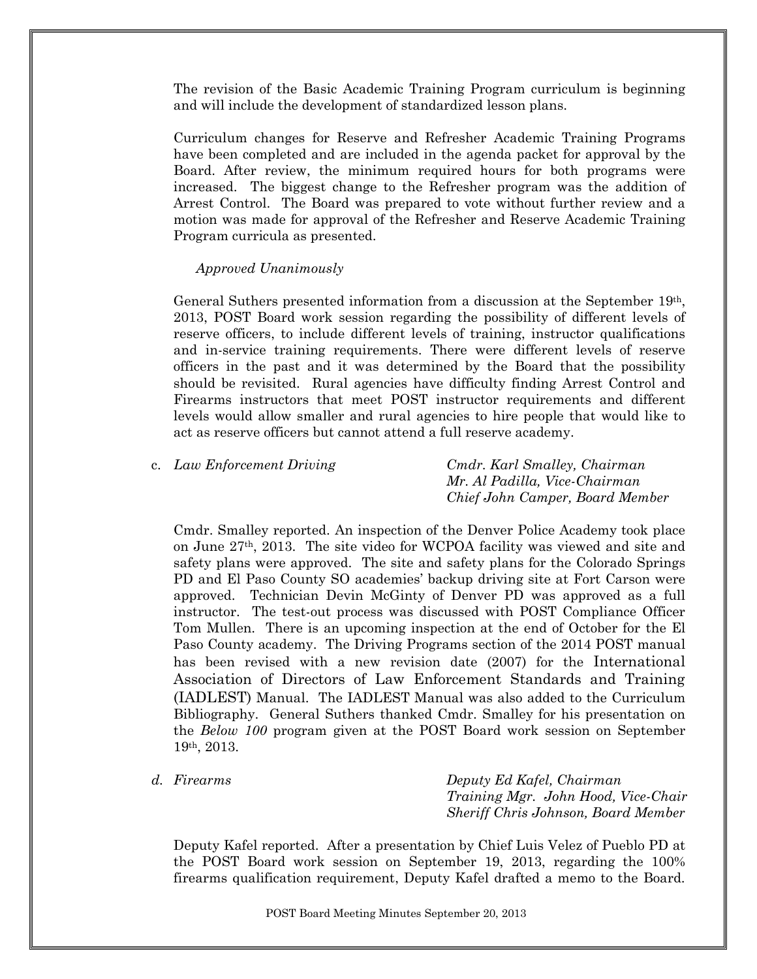The revision of the Basic Academic Training Program curriculum is beginning and will include the development of standardized lesson plans.

Curriculum changes for Reserve and Refresher Academic Training Programs have been completed and are included in the agenda packet for approval by the Board. After review, the minimum required hours for both programs were increased. The biggest change to the Refresher program was the addition of Arrest Control. The Board was prepared to vote without further review and a motion was made for approval of the Refresher and Reserve Academic Training Program curricula as presented.

#### *Approved Unanimously*

General Suthers presented information from a discussion at the September 19th, 2013, POST Board work session regarding the possibility of different levels of reserve officers, to include different levels of training, instructor qualifications and in-service training requirements. There were different levels of reserve officers in the past and it was determined by the Board that the possibility should be revisited. Rural agencies have difficulty finding Arrest Control and Firearms instructors that meet POST instructor requirements and different levels would allow smaller and rural agencies to hire people that would like to act as reserve officers but cannot attend a full reserve academy.

|  | c. Law Enforcement Driving | Cmdr. Karl Smalley, Chairman    |
|--|----------------------------|---------------------------------|
|  |                            | Mr. Al Padilla, Vice-Chairman   |
|  |                            | Chief John Camper, Board Member |

Cmdr. Smalley reported. An inspection of the Denver Police Academy took place on June 27th, 2013. The site video for WCPOA facility was viewed and site and safety plans were approved. The site and safety plans for the Colorado Springs PD and El Paso County SO academies' backup driving site at Fort Carson were approved. Technician Devin McGinty of Denver PD was approved as a full instructor. The test-out process was discussed with POST Compliance Officer Tom Mullen. There is an upcoming inspection at the end of October for the El Paso County academy. The Driving Programs section of the 2014 POST manual has been revised with a new revision date (2007) for the International Association of Directors of Law Enforcement Standards and Training (IADLEST) Manual. The IADLEST Manual was also added to the Curriculum Bibliography. General Suthers thanked Cmdr. Smalley for his presentation on the *Below 100* program given at the POST Board work session on September 19th, 2013.

*d. Firearms Deputy Ed Kafel, Chairman Training Mgr. John Hood, Vice-Chair Sheriff Chris Johnson, Board Member*

Deputy Kafel reported. After a presentation by Chief Luis Velez of Pueblo PD at the POST Board work session on September 19, 2013, regarding the 100% firearms qualification requirement, Deputy Kafel drafted a memo to the Board.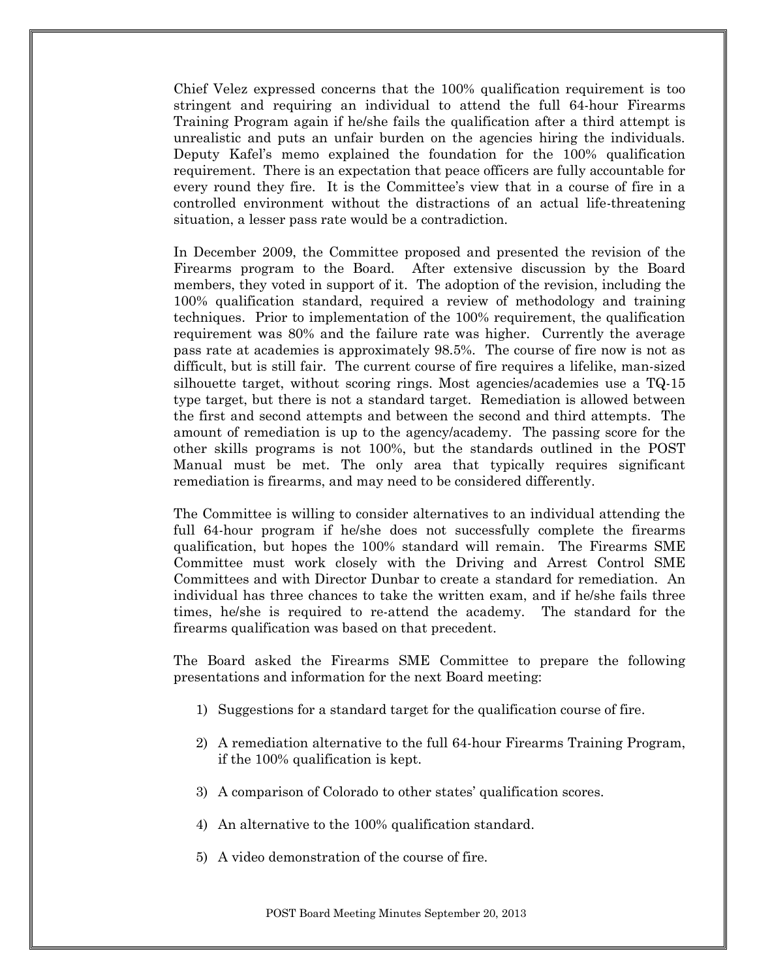Chief Velez expressed concerns that the 100% qualification requirement is too stringent and requiring an individual to attend the full 64-hour Firearms Training Program again if he/she fails the qualification after a third attempt is unrealistic and puts an unfair burden on the agencies hiring the individuals. Deputy Kafel's memo explained the foundation for the 100% qualification requirement. There is an expectation that peace officers are fully accountable for every round they fire. It is the Committee's view that in a course of fire in a controlled environment without the distractions of an actual life-threatening situation, a lesser pass rate would be a contradiction.

In December 2009, the Committee proposed and presented the revision of the Firearms program to the Board. After extensive discussion by the Board members, they voted in support of it. The adoption of the revision, including the 100% qualification standard, required a review of methodology and training techniques. Prior to implementation of the 100% requirement, the qualification requirement was 80% and the failure rate was higher. Currently the average pass rate at academies is approximately 98.5%. The course of fire now is not as difficult, but is still fair. The current course of fire requires a lifelike, man-sized silhouette target, without scoring rings. Most agencies/academies use a TQ-15 type target, but there is not a standard target. Remediation is allowed between the first and second attempts and between the second and third attempts. The amount of remediation is up to the agency/academy. The passing score for the other skills programs is not 100%, but the standards outlined in the POST Manual must be met. The only area that typically requires significant remediation is firearms, and may need to be considered differently.

The Committee is willing to consider alternatives to an individual attending the full 64-hour program if he/she does not successfully complete the firearms qualification, but hopes the 100% standard will remain. The Firearms SME Committee must work closely with the Driving and Arrest Control SME Committees and with Director Dunbar to create a standard for remediation. An individual has three chances to take the written exam, and if he/she fails three times, he/she is required to re-attend the academy. The standard for the firearms qualification was based on that precedent.

The Board asked the Firearms SME Committee to prepare the following presentations and information for the next Board meeting:

- 1) Suggestions for a standard target for the qualification course of fire.
- 2) A remediation alternative to the full 64-hour Firearms Training Program, if the 100% qualification is kept.
- 3) A comparison of Colorado to other states' qualification scores.
- 4) An alternative to the 100% qualification standard.
- 5) A video demonstration of the course of fire.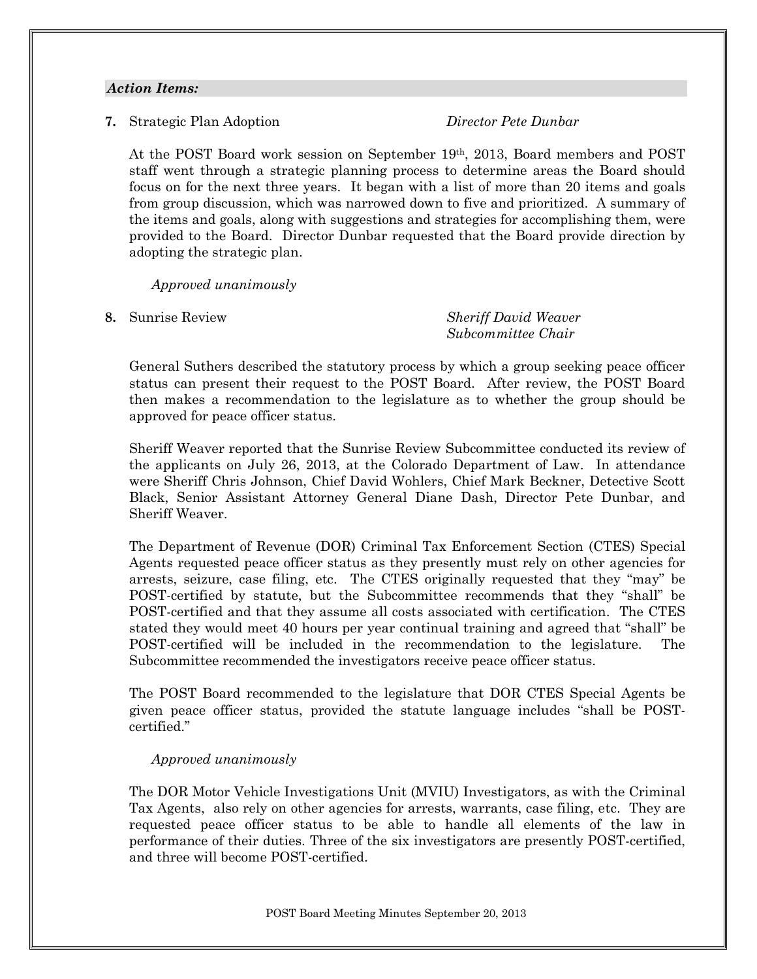#### *Action Items:*

**7.** Strategic Plan Adoption *Director Pete Dunbar*

At the POST Board work session on September 19th, 2013, Board members and POST staff went through a strategic planning process to determine areas the Board should focus on for the next three years. It began with a list of more than 20 items and goals from group discussion, which was narrowed down to five and prioritized. A summary of the items and goals, along with suggestions and strategies for accomplishing them, were provided to the Board. Director Dunbar requested that the Board provide direction by adopting the strategic plan.

*Approved unanimously*

**8.** Sunrise Review *Sheriff David Weaver Subcommittee Chair*

General Suthers described the statutory process by which a group seeking peace officer status can present their request to the POST Board. After review, the POST Board then makes a recommendation to the legislature as to whether the group should be approved for peace officer status.

Sheriff Weaver reported that the Sunrise Review Subcommittee conducted its review of the applicants on July 26, 2013, at the Colorado Department of Law. In attendance were Sheriff Chris Johnson, Chief David Wohlers, Chief Mark Beckner, Detective Scott Black, Senior Assistant Attorney General Diane Dash, Director Pete Dunbar, and Sheriff Weaver.

The Department of Revenue (DOR) Criminal Tax Enforcement Section (CTES) Special Agents requested peace officer status as they presently must rely on other agencies for arrests, seizure, case filing, etc. The CTES originally requested that they "may" be POST-certified by statute, but the Subcommittee recommends that they "shall" be POST-certified and that they assume all costs associated with certification. The CTES stated they would meet 40 hours per year continual training and agreed that "shall" be POST-certified will be included in the recommendation to the legislature. The Subcommittee recommended the investigators receive peace officer status.

The POST Board recommended to the legislature that DOR CTES Special Agents be given peace officer status, provided the statute language includes "shall be POSTcertified."

## *Approved unanimously*

The DOR Motor Vehicle Investigations Unit (MVIU) Investigators, as with the Criminal Tax Agents, also rely on other agencies for arrests, warrants, case filing, etc. They are requested peace officer status to be able to handle all elements of the law in performance of their duties. Three of the six investigators are presently POST-certified, and three will become POST-certified.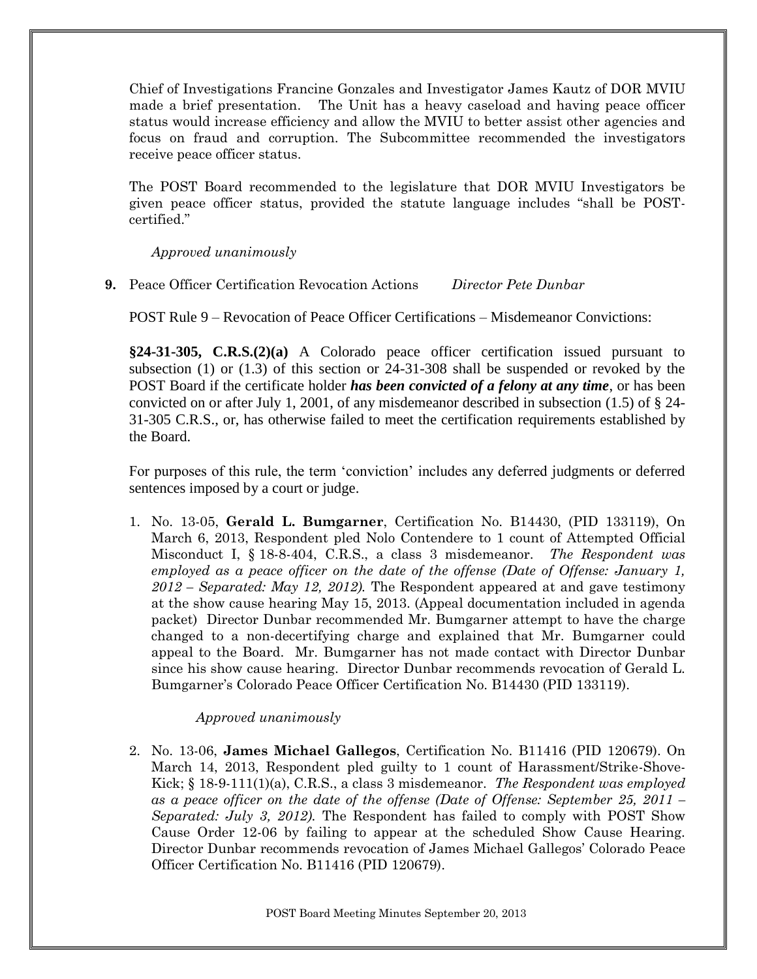Chief of Investigations Francine Gonzales and Investigator James Kautz of DOR MVIU made a brief presentation. The Unit has a heavy caseload and having peace officer status would increase efficiency and allow the MVIU to better assist other agencies and focus on fraud and corruption. The Subcommittee recommended the investigators receive peace officer status.

The POST Board recommended to the legislature that DOR MVIU Investigators be given peace officer status, provided the statute language includes "shall be POSTcertified."

*Approved unanimously*

**9.** Peace Officer Certification Revocation Actions *Director Pete Dunbar*

POST Rule 9 – Revocation of Peace Officer Certifications – Misdemeanor Convictions:

**§24-31-305, C.R.S.(2)(a)** A Colorado peace officer certification issued pursuant to subsection (1) or (1.3) of this section or 24-31-308 shall be suspended or revoked by the POST Board if the certificate holder *has been convicted of a felony at any time*, or has been convicted on or after July 1, 2001, of any misdemeanor described in subsection  $(1.5)$  of  $\S$  24-31-305 C.R.S., or, has otherwise failed to meet the certification requirements established by the Board.

For purposes of this rule, the term 'conviction' includes any deferred judgments or deferred sentences imposed by a court or judge.

1. No. 13-05, **Gerald L. Bumgarner**, Certification No. B14430, (PID 133119), On March 6, 2013, Respondent pled Nolo Contendere to 1 count of Attempted Official Misconduct I, § 18-8-404, C.R.S., a class 3 misdemeanor. *The Respondent was employed as a peace officer on the date of the offense (Date of Offense: January 1, 2012 – Separated: May 12, 2012).* The Respondent appeared at and gave testimony at the show cause hearing May 15, 2013. (Appeal documentation included in agenda packet) Director Dunbar recommended Mr. Bumgarner attempt to have the charge changed to a non-decertifying charge and explained that Mr. Bumgarner could appeal to the Board. Mr. Bumgarner has not made contact with Director Dunbar since his show cause hearing. Director Dunbar recommends revocation of Gerald L. Bumgarner's Colorado Peace Officer Certification No. B14430 (PID 133119).

## *Approved unanimously*

2. No. 13-06, **James Michael Gallegos**, Certification No. B11416 (PID 120679). On March 14, 2013, Respondent pled guilty to 1 count of Harassment/Strike-Shove-Kick; § 18-9-111(1)(a), C.R.S., a class 3 misdemeanor. *The Respondent was employed as a peace officer on the date of the offense (Date of Offense: September 25, 2011 – Separated: July 3, 2012).* The Respondent has failed to comply with POST Show Cause Order 12-06 by failing to appear at the scheduled Show Cause Hearing. Director Dunbar recommends revocation of James Michael Gallegos' Colorado Peace Officer Certification No. B11416 (PID 120679).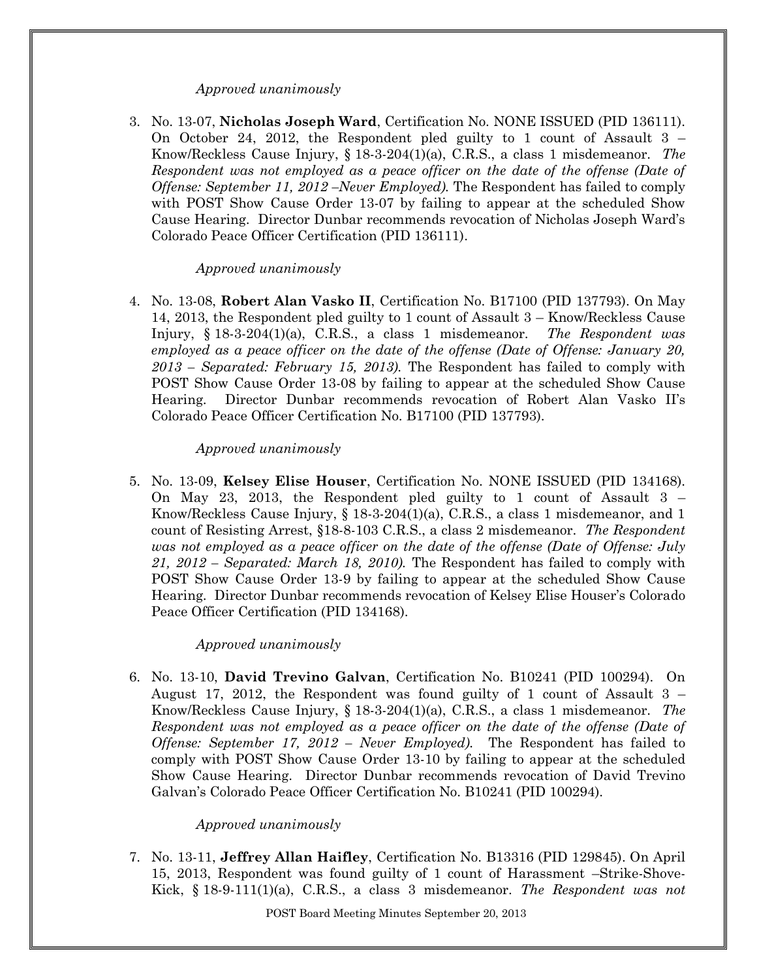#### *Approved unanimously*

3. No. 13-07, **Nicholas Joseph Ward**, Certification No. NONE ISSUED (PID 136111). On October 24, 2012, the Respondent pled guilty to 1 count of Assault 3 – Know/Reckless Cause Injury, § 18-3-204(1)(a), C.R.S., a class 1 misdemeanor. *The Respondent was not employed as a peace officer on the date of the offense (Date of Offense: September 11, 2012 –Never Employed).* The Respondent has failed to comply with POST Show Cause Order 13-07 by failing to appear at the scheduled Show Cause Hearing. Director Dunbar recommends revocation of Nicholas Joseph Ward's Colorado Peace Officer Certification (PID 136111).

#### *Approved unanimously*

4. No. 13-08, **Robert Alan Vasko II**, Certification No. B17100 (PID 137793). On May 14, 2013, the Respondent pled guilty to 1 count of Assault 3 – Know/Reckless Cause Injury, § 18-3-204(1)(a), C.R.S., a class 1 misdemeanor. *The Respondent was employed as a peace officer on the date of the offense (Date of Offense: January 20, 2013 – Separated: February 15, 2013).* The Respondent has failed to comply with POST Show Cause Order 13-08 by failing to appear at the scheduled Show Cause Hearing. Director Dunbar recommends revocation of Robert Alan Vasko II's Colorado Peace Officer Certification No. B17100 (PID 137793).

#### *Approved unanimously*

5. No. 13-09, **Kelsey Elise Houser**, Certification No. NONE ISSUED (PID 134168). On May 23, 2013, the Respondent pled guilty to 1 count of Assault 3 – Know/Reckless Cause Injury, § 18-3-204(1)(a), C.R.S., a class 1 misdemeanor, and 1 count of Resisting Arrest, §18-8-103 C.R.S., a class 2 misdemeanor. *The Respondent was not employed as a peace officer on the date of the offense (Date of Offense: July 21, 2012 – Separated: March 18, 2010).* The Respondent has failed to comply with POST Show Cause Order 13-9 by failing to appear at the scheduled Show Cause Hearing. Director Dunbar recommends revocation of Kelsey Elise Houser's Colorado Peace Officer Certification (PID 134168).

#### *Approved unanimously*

6. No. 13-10, **David Trevino Galvan**, Certification No. B10241 (PID 100294). On August 17, 2012, the Respondent was found guilty of 1 count of Assault 3 – Know/Reckless Cause Injury, § 18-3-204(1)(a), C.R.S., a class 1 misdemeanor. *The Respondent was not employed as a peace officer on the date of the offense (Date of Offense: September 17, 2012 – Never Employed).* The Respondent has failed to comply with POST Show Cause Order 13-10 by failing to appear at the scheduled Show Cause Hearing. Director Dunbar recommends revocation of David Trevino Galvan's Colorado Peace Officer Certification No. B10241 (PID 100294).

#### *Approved unanimously*

7. No. 13-11, **Jeffrey Allan Haifley**, Certification No. B13316 (PID 129845). On April 15, 2013, Respondent was found guilty of 1 count of Harassment –Strike-Shove-Kick, § 18-9-111(1)(a), C.R.S., a class 3 misdemeanor. *The Respondent was not*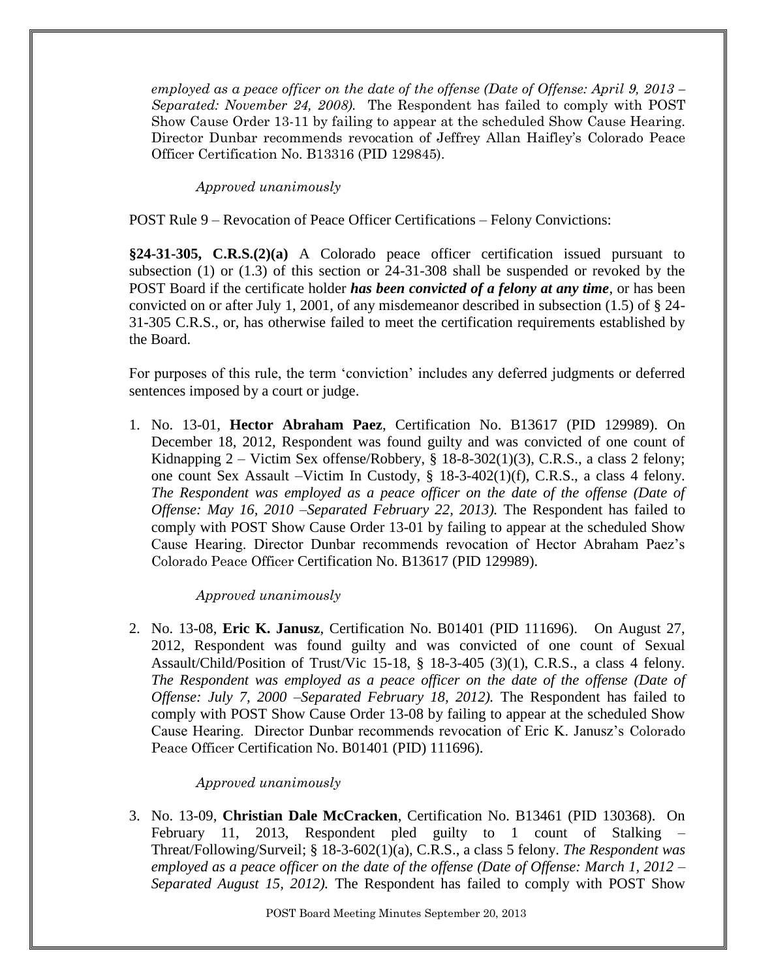*employed as a peace officer on the date of the offense (Date of Offense: April 9, 2013 – Separated: November 24, 2008).* The Respondent has failed to comply with POST Show Cause Order 13-11 by failing to appear at the scheduled Show Cause Hearing. Director Dunbar recommends revocation of Jeffrey Allan Haifley's Colorado Peace Officer Certification No. B13316 (PID 129845).

*Approved unanimously*

POST Rule 9 – Revocation of Peace Officer Certifications – Felony Convictions:

**§24-31-305, C.R.S.(2)(a)** A Colorado peace officer certification issued pursuant to subsection (1) or (1.3) of this section or 24-31-308 shall be suspended or revoked by the POST Board if the certificate holder *has been convicted of a felony at any time*, or has been convicted on or after July 1, 2001, of any misdemeanor described in subsection (1.5) of § 24- 31-305 C.R.S., or, has otherwise failed to meet the certification requirements established by the Board.

For purposes of this rule, the term 'conviction' includes any deferred judgments or deferred sentences imposed by a court or judge.

1. No. 13-01, **Hector Abraham Paez**, Certification No. B13617 (PID 129989). On December 18, 2012, Respondent was found guilty and was convicted of one count of Kidnapping 2 – Victim Sex offense/Robbery,  $\S$  18-8-302(1)(3), C.R.S., a class 2 felony; one count Sex Assault –Victim In Custody, § 18-3-402(1)(f), C.R.S., a class 4 felony. *The Respondent was employed as a peace officer on the date of the offense (Date of Offense: May 16, 2010 –Separated February 22, 2013).* The Respondent has failed to comply with POST Show Cause Order 13-01 by failing to appear at the scheduled Show Cause Hearing. Director Dunbar recommends revocation of Hector Abraham Paez's Colorado Peace Officer Certification No. B13617 (PID 129989).

*Approved unanimously*

2. No. 13-08, **Eric K. Janusz**, Certification No. B01401 (PID 111696). On August 27, 2012, Respondent was found guilty and was convicted of one count of Sexual Assault/Child/Position of Trust/Vic 15-18, § 18-3-405 (3)(1), C.R.S., a class 4 felony. *The Respondent was employed as a peace officer on the date of the offense (Date of Offense: July 7, 2000 –Separated February 18, 2012).* The Respondent has failed to comply with POST Show Cause Order 13-08 by failing to appear at the scheduled Show Cause Hearing. Director Dunbar recommends revocation of Eric K. Janusz's Colorado Peace Officer Certification No. B01401 (PID) 111696).

## *Approved unanimously*

3. No. 13-09, **Christian Dale McCracken**, Certification No. B13461 (PID 130368). On February 11, 2013, Respondent pled guilty to 1 count of Stalking – Threat/Following/Surveil; § 18-3-602(1)(a), C.R.S., a class 5 felony. *The Respondent was employed as a peace officer on the date of the offense (Date of Offense: March 1, 2012 – Separated August 15, 2012).* The Respondent has failed to comply with POST Show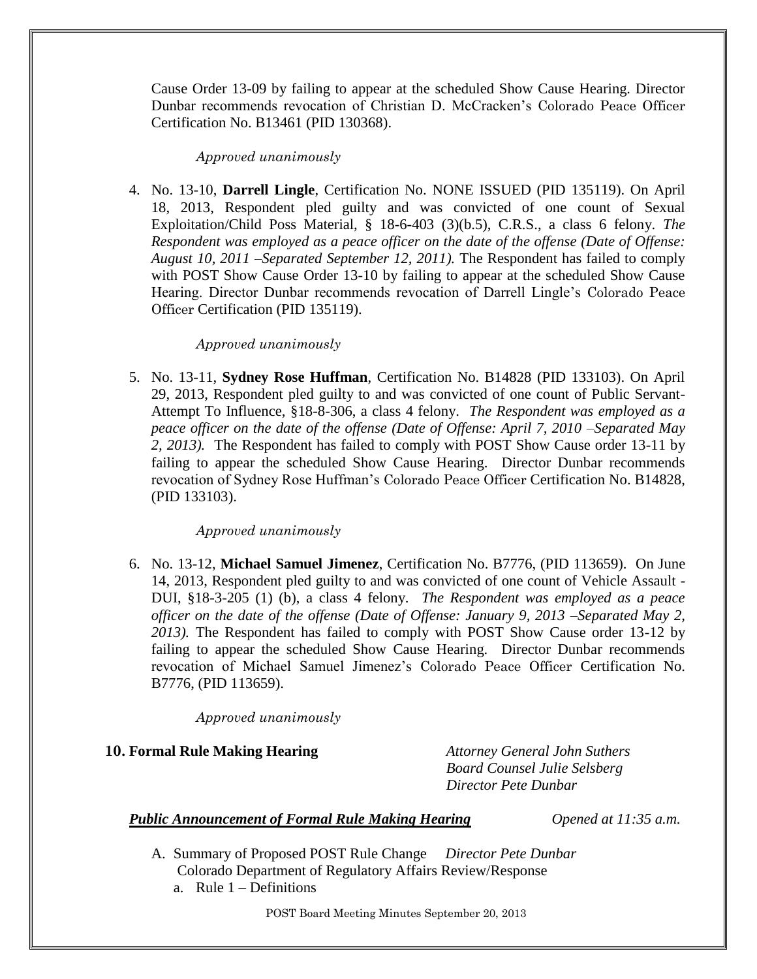Cause Order 13-09 by failing to appear at the scheduled Show Cause Hearing. Director Dunbar recommends revocation of Christian D. McCracken's Colorado Peace Officer Certification No. B13461 (PID 130368).

# *Approved unanimously*

4. No. 13-10, **Darrell Lingle**, Certification No. NONE ISSUED (PID 135119). On April 18, 2013, Respondent pled guilty and was convicted of one count of Sexual Exploitation/Child Poss Material, § 18-6-403 (3)(b.5), C.R.S., a class 6 felony. *The Respondent was employed as a peace officer on the date of the offense (Date of Offense: August 10, 2011 –Separated September 12, 2011).* The Respondent has failed to comply with POST Show Cause Order 13-10 by failing to appear at the scheduled Show Cause Hearing. Director Dunbar recommends revocation of Darrell Lingle's Colorado Peace Officer Certification (PID 135119).

## *Approved unanimously*

5. No. 13-11, **Sydney Rose Huffman**, Certification No. B14828 (PID 133103). On April 29, 2013, Respondent pled guilty to and was convicted of one count of Public Servant-Attempt To Influence, §18-8-306, a class 4 felony. *The Respondent was employed as a peace officer on the date of the offense (Date of Offense: April 7, 2010 –Separated May 2, 2013).* The Respondent has failed to comply with POST Show Cause order 13-11 by failing to appear the scheduled Show Cause Hearing. Director Dunbar recommends revocation of Sydney Rose Huffman's Colorado Peace Officer Certification No. B14828, (PID 133103).

## *Approved unanimously*

6. No. 13-12, **Michael Samuel Jimenez**, Certification No. B7776, (PID 113659). On June 14, 2013, Respondent pled guilty to and was convicted of one count of Vehicle Assault - DUI, §18-3-205 (1) (b), a class 4 felony. *The Respondent was employed as a peace officer on the date of the offense (Date of Offense: January 9, 2013 –Separated May 2, 2013).* The Respondent has failed to comply with POST Show Cause order 13-12 by failing to appear the scheduled Show Cause Hearing. Director Dunbar recommends revocation of Michael Samuel Jimenez's Colorado Peace Officer Certification No. B7776, (PID 113659).

## *Approved unanimously*

## **10. Formal Rule Making Hearing** *Attorney General John Suthers*

*Board Counsel Julie Selsberg Director Pete Dunbar*

# *Public Announcement of Formal Rule Making Hearing <i>Opened at 11:35 a.m.*

- A. Summary of Proposed POST Rule Change *Director Pete Dunbar* Colorado Department of Regulatory Affairs Review/Response
	- a. Rule  $1 -$  Definitions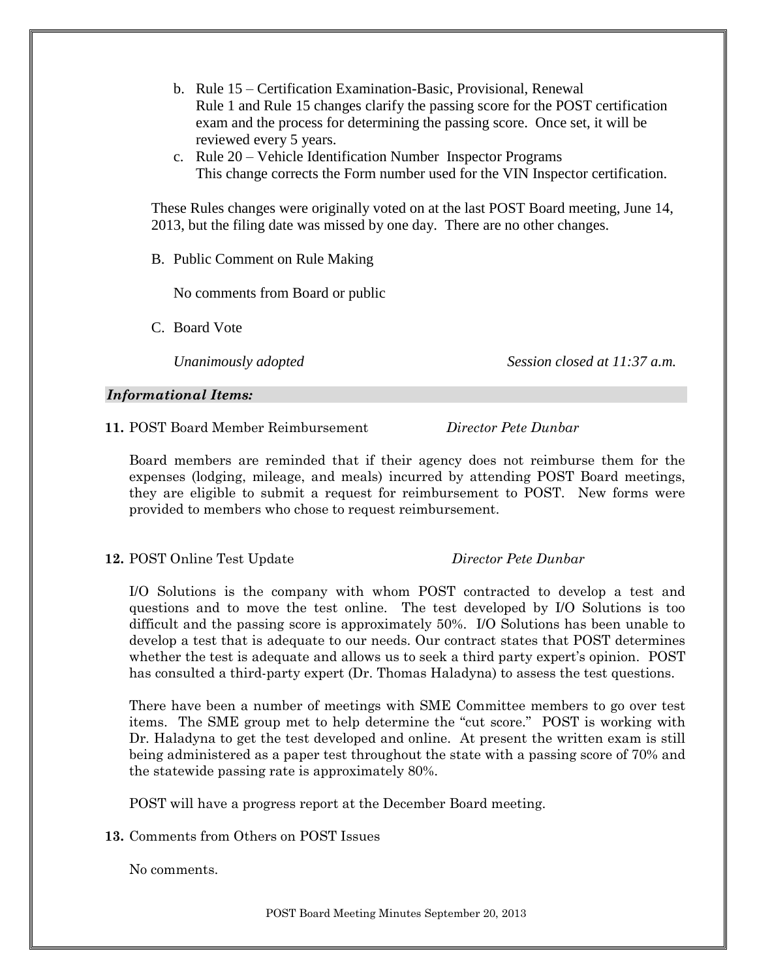- b. Rule 15 Certification Examination-Basic, Provisional, Renewal Rule 1 and Rule 15 changes clarify the passing score for the POST certification exam and the process for determining the passing score. Once set, it will be reviewed every 5 years.
- c. Rule 20 Vehicle Identification Number Inspector Programs This change corrects the Form number used for the VIN Inspector certification.

These Rules changes were originally voted on at the last POST Board meeting, June 14, 2013, but the filing date was missed by one day. There are no other changes.

B. Public Comment on Rule Making

No comments from Board or public

C. Board Vote

*Unanimously adopted Session closed at 11:37 a.m.*

#### *Informational Items:*

**11.** POST Board Member Reimbursement *Director Pete Dunbar*

Board members are reminded that if their agency does not reimburse them for the expenses (lodging, mileage, and meals) incurred by attending POST Board meetings, they are eligible to submit a request for reimbursement to POST. New forms were provided to members who chose to request reimbursement.

**12.** POST Online Test Update *Director Pete Dunbar*

I/O Solutions is the company with whom POST contracted to develop a test and questions and to move the test online. The test developed by I/O Solutions is too difficult and the passing score is approximately 50%. I/O Solutions has been unable to develop a test that is adequate to our needs. Our contract states that POST determines whether the test is adequate and allows us to seek a third party expert's opinion. POST has consulted a third-party expert (Dr. Thomas Haladyna) to assess the test questions.

There have been a number of meetings with SME Committee members to go over test items. The SME group met to help determine the "cut score." POST is working with Dr. Haladyna to get the test developed and online. At present the written exam is still being administered as a paper test throughout the state with a passing score of 70% and the statewide passing rate is approximately 80%.

POST will have a progress report at the December Board meeting.

**13.** Comments from Others on POST Issues

No comments.